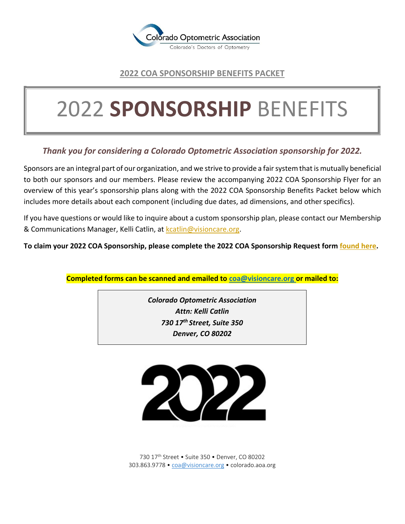

## **2022 COA SPONSORSHIP BENEFITS PACKET**

# 2022 **SPONSORSHIP** BENEFITS

## *Thank you for considering a Colorado Optometric Association sponsorship for 2022.*

Sponsors are an integral part of our organization, and we strive to provide a fair system that is mutually beneficial to both our sponsors and our members. Please review the accompanying 2022 COA Sponsorship Flyer for an overview of this year's sponsorship plans along with the 2022 COA Sponsorship Benefits Packet below which includes more details about each component (including due dates, ad dimensions, and other specifics).

If you have questions or would like to inquire about a custom sponsorship plan, please contact our Membership & Communications Manager, Kelli Catlin, a[t kcatlin@visioncare.org.](mailto:kcatlin@visioncare.org)

**To claim your 2022 COA Sponsorship, please complete the 2022 COA Sponsorship Request form [found here.](https://cooptometricassn.wufoo.com/forms/xjyqqi009lw43a/)**

**Completed forms can be scanned and emailed to [coa@visioncare.org o](mailto:coa@visioncare.org)r mailed to:**

*Colorado Optometric Association Attn: Kelli Catlin 730 17th Street, Suite 350 Denver, CO 80202*



730 17th Street • Suite 350 • Denver, CO 80202 303.863.9778 • [coa@visioncare.org](mailto:coa@visioncare.org) • colorado.aoa.org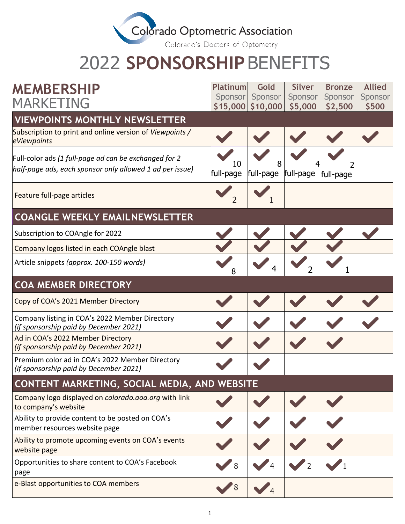

Colorado's Doctors of Optometry

# 2022 **SPONSORSHIP**BENEFITS

| <b>MEMBERSHIP</b>                                                                                                 | <b>Platinum</b> | Gold                           | <b>Silver</b>      | <b>Bronze</b>      | <b>Allied</b>    |
|-------------------------------------------------------------------------------------------------------------------|-----------------|--------------------------------|--------------------|--------------------|------------------|
| MARKETING                                                                                                         | <b>Sponsor</b>  | Sponsor<br>$$15,000$ $$10,000$ | Sponsor<br>\$5,000 | Sponsor<br>\$2,500 | Sponsor<br>\$500 |
| <b>VIEWPOINTS MONTHLY NEWSLETTER</b>                                                                              |                 |                                |                    |                    |                  |
| Subscription to print and online version of Viewpoints /<br>eViewpoints                                           |                 |                                |                    |                    |                  |
| Full-color ads (1 full-page ad can be exchanged for 2<br>half-page ads, each sponsor only allowed 1 ad per issue) | 10<br>full-page | 8<br>full-page full-page       |                    | full-page          |                  |
| Feature full-page articles                                                                                        |                 |                                |                    |                    |                  |
| <b>COANGLE WEEKLY EMAILNEWSLETTER</b>                                                                             |                 |                                |                    |                    |                  |
| Subscription to COAngle for 2022                                                                                  |                 |                                |                    |                    |                  |
| Company logos listed in each COAngle blast                                                                        |                 |                                |                    |                    |                  |
| Article snippets (approx. 100-150 words)                                                                          | 8               |                                |                    |                    |                  |
| <b>COA MEMBER DIRECTORY</b>                                                                                       |                 |                                |                    |                    |                  |
| Copy of COA's 2021 Member Directory                                                                               |                 |                                |                    |                    |                  |
| Company listing in COA's 2022 Member Directory<br>(if sponsorship paid by December 2021)                          |                 |                                |                    |                    |                  |
| Ad in COA's 2022 Member Directory<br>(if sponsorship paid by December 2021)                                       |                 |                                |                    |                    |                  |
| Premium color ad in COA's 2022 Member Directory<br>(if sponsorship paid by December 2021)                         |                 |                                |                    |                    |                  |
| CONTENT MARKETING, SOCIAL MEDIA, AND WEBSITE                                                                      |                 |                                |                    |                    |                  |
| Company logo displayed on colorado.aoa.org with link<br>to company's website                                      |                 |                                |                    |                    |                  |
| Ability to provide content to be posted on COA's<br>member resources website page                                 |                 |                                |                    |                    |                  |
| Ability to promote upcoming events on COA's events<br>website page                                                |                 |                                |                    |                    |                  |
| Opportunities to share content to COA's Facebook<br>page                                                          | 8               |                                |                    |                    |                  |
| e-Blast opportunities to COA members                                                                              |                 |                                |                    |                    |                  |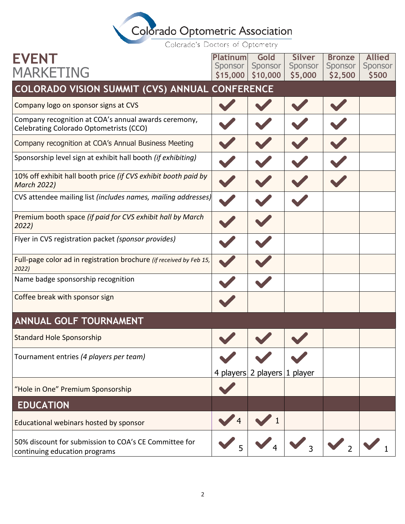# Colorado Optometric Association

Colorado's Doctors of Optometry

| <b>EVENT</b>                                                                                    | Platinum            | Gold                         | <b>Silver</b>               | <b>Bronze</b>      | <b>Allied</b>    |
|-------------------------------------------------------------------------------------------------|---------------------|------------------------------|-----------------------------|--------------------|------------------|
| <b>MARKETING</b>                                                                                | Sponsor<br>\$15,000 | Sponsor<br>\$10,000          | Sponsor<br>\$5,000          | Sponsor<br>\$2,500 | Sponsor<br>\$500 |
| COLORADO VISION SUMMIT (CVS) ANNUAL CONFERENCE                                                  |                     |                              |                             |                    |                  |
| Company logo on sponsor signs at CVS                                                            |                     |                              |                             |                    |                  |
| Company recognition at COA's annual awards ceremony,<br>Celebrating Colorado Optometrists (CCO) |                     |                              |                             |                    |                  |
| Company recognition at COA's Annual Business Meeting                                            |                     |                              |                             |                    |                  |
| Sponsorship level sign at exhibit hall booth (if exhibiting)                                    |                     |                              |                             |                    |                  |
| 10% off exhibit hall booth price (if CVS exhibit booth paid by<br><b>March 2022)</b>            |                     |                              |                             |                    |                  |
| CVS attendee mailing list (includes names, mailing addresses)                                   |                     |                              |                             |                    |                  |
| Premium booth space (if paid for CVS exhibit hall by March<br>2022)                             |                     |                              |                             |                    |                  |
| Flyer in CVS registration packet (sponsor provides)                                             |                     |                              |                             |                    |                  |
| Full-page color ad in registration brochure (if received by Feb 15,<br>2022)                    |                     |                              |                             |                    |                  |
| Name badge sponsorship recognition                                                              |                     |                              |                             |                    |                  |
| Coffee break with sponsor sign                                                                  |                     |                              |                             |                    |                  |
| <b>ANNUAL GOLF TOURNAMENT</b>                                                                   |                     |                              |                             |                    |                  |
| <b>Standard Hole Sponsorship</b>                                                                |                     |                              |                             |                    |                  |
| Tournament entries (4 players per team)                                                         |                     |                              |                             |                    |                  |
|                                                                                                 |                     | 4 players 2 players 1 player |                             |                    |                  |
| "Hole in One" Premium Sponsorship                                                               |                     |                              |                             |                    |                  |
| <b>EDUCATION</b>                                                                                |                     |                              |                             |                    |                  |
| Educational webinars hosted by sponsor                                                          | $\overline{4}$      |                              |                             |                    |                  |
| 50% discount for submission to COA's CE Committee for<br>continuing education programs          |                     |                              | $\mathbf{v}_3 \mathbf{v}_2$ |                    |                  |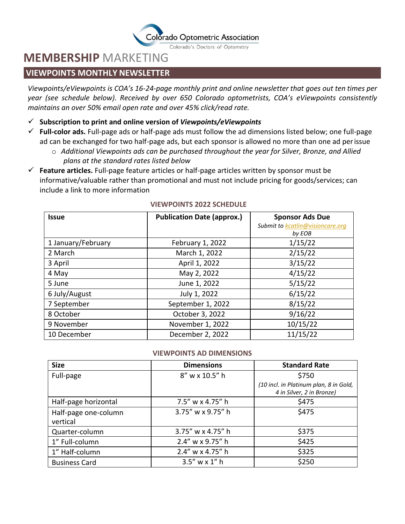

Colorado's Doctors of Optometry

## **MEMBERSHIP** MARKETING

### **VIEWPOINTS MONTHLY NEWSLETTER**

*Viewpoints/eViewpoints is COA's 16-24-page monthly print and online newsletter that goes out ten times per year (see schedule below). Received by over 650 Colorado optometrists, COA's eViewpoints consistently maintains an over 50% email open rate and over 45% click/read rate.*

- ✓ **Subscription to print and online version of** *Viewpoints/eViewpoints*
- ✓ **Full-color ads.** Full-page ads or half-page ads must follow the ad dimensions listed below; one full-page ad can be exchanged for two half-page ads, but each sponsor is allowed no more than one ad perissue
	- o *Additional Viewpoints ads can be purchased throughout the year for Silver, Bronze, and Allied plans at the standard rates listed below*
- ✓ **Feature articles.** Full-page feature articles or half-page articles written by sponsor must be informative/valuable rather than promotional and must not include pricing for goods/services; can include a link to more information

| <b>Issue</b>       | <b>Publication Date (approx.)</b> | <b>Sponsor Ads Due</b>                     |
|--------------------|-----------------------------------|--------------------------------------------|
|                    |                                   | Submit to kcatlin@visioncare.org<br>by EOB |
| 1 January/February | February 1, 2022                  | 1/15/22                                    |
| 2 March            | March 1, 2022                     | 2/15/22                                    |
| 3 April            | April 1, 2022                     | 3/15/22                                    |
| 4 May              | May 2, 2022                       | 4/15/22                                    |
| 5 June             | June 1, 2022                      | 5/15/22                                    |
| 6 July/August      | July 1, 2022                      | 6/15/22                                    |
| 7 September        | September 1, 2022                 | 8/15/22                                    |
| 8 October          | October 3, 2022                   | 9/16/22                                    |
| 9 November         | November 1, 2022                  | 10/15/22                                   |
| 10 December        | December 2, 2022                  | 11/15/22                                   |

#### **VIEWPOINTS 2022 SCHEDULE**

#### **VIEWPOINTS AD DIMENSIONS**

| <b>Size</b>                      | <b>Dimensions</b>   | <b>Standard Rate</b>                                                |
|----------------------------------|---------------------|---------------------------------------------------------------------|
| Full-page                        | 8" w x 10.5" h      | \$750                                                               |
|                                  |                     | (10 incl. in Platinum plan, 8 in Gold,<br>4 in Silver, 2 in Bronze) |
| Half-page horizontal             | $7.5''$ w x 4.75" h | \$475                                                               |
| Half-page one-column<br>vertical | 3.75" w x 9.75" h   | \$475                                                               |
| Quarter-column                   | 3.75" w x 4.75" h   | \$375                                                               |
| 1" Full-column                   | 2.4" w x 9.75" h    | \$425                                                               |
| 1" Half-column                   | 2.4" w x 4.75" h    | \$325                                                               |
| <b>Business Card</b>             | $3.5''$ w x 1" h    | \$250                                                               |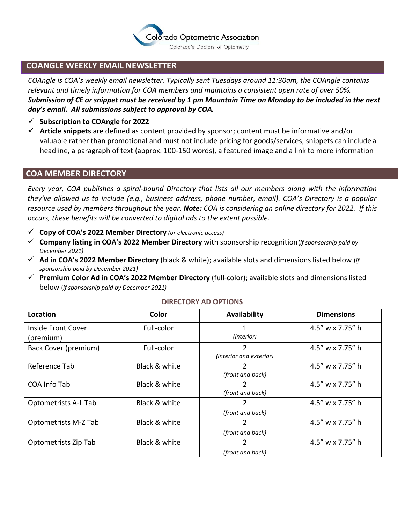

### **COANGLE WEEKLY EMAIL NEWSLETTER**

*COAngle is COA's weekly email newsletter. Typically sent Tuesdays around 11:30am, the COAngle contains relevant and timely information for COA members and maintains a consistent open rate of over 50%. Submission of CE or snippet must be received by 1 pm Mountain Time on Monday to be included in the next day's email. All submissions subject to approval by COA.*

- ✓ **Subscription to COAngle for 2022**
- ✓ **Article snippets** are defined as content provided by sponsor; content must be informative and/or valuable rather than promotional and must not include pricing for goods/services; snippets can include a headline, a paragraph of text (approx. 100-150 words), a featured image and a link to more information

#### **COA MEMBER DIRECTORY**

*Every year, COA publishes a spiral-bound Directory that lists all our members along with the information they've allowed us to include (e.g., business address, phone number, email). COA's Directory is a popular resource used by members throughout the year. Note: COA is considering an online directory for 2022. If this occurs, these benefits will be converted to digital ads to the extent possible.*

- ✓ **Copy of COA's 2022 Member Directory** *(or electronic access)*
- ✓ **Company listing in COA's 2022 Member Directory** with sponsorship recognition(*if sponsorship paid by December 2021)*
- ✓ **Ad in COA's 2022 Member Directory** (black & white); available slots and dimensions listed below (*if sponsorship paid by December 2021)*
- ✓ **Premium Color Ad in COA's 2022 Member Directory** (full-color); available slots and dimensions listed below (*if sponsorship paid by December 2021)*

| Location                        | Color         | Availability                 | <b>Dimensions</b> |
|---------------------------------|---------------|------------------------------|-------------------|
| Inside Front Cover<br>(premium) | Full-color    | (interior)                   | 4.5" w x 7.75" h  |
| Back Cover (premium)            | Full-color    | 2<br>(interior and exterior) | 4.5" w x 7.75" h  |
| Reference Tab                   | Black & white | 2<br>(front and back)        | 4.5" w x 7.75" h  |
| COA Info Tab                    | Black & white | 2<br>(front and back)        | 4.5" w x 7.75" h  |
| <b>Optometrists A-L Tab</b>     | Black & white | 2<br>(front and back)        | 4.5" w x 7.75" h  |
| Optometrists M-Z Tab            | Black & white | 2<br>(front and back)        | 4.5" w x 7.75" h  |
| Optometrists Zip Tab            | Black & white | 2<br>(front and back)        | 4.5" w x 7.75" h  |

#### **DIRECTORY AD OPTIONS**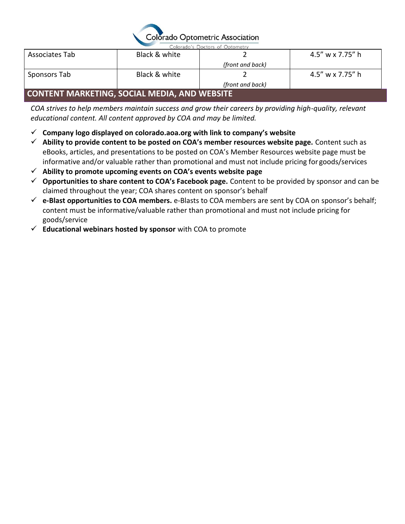

Colorado's Doctors of Optometry

| Associates Tab                                 | Black & white |                  | 4.5" w x 7.75" h |
|------------------------------------------------|---------------|------------------|------------------|
|                                                |               | (front and back) |                  |
| Sponsors Tab                                   | Black & white |                  | 4.5" w x 7.75" h |
|                                                |               | (front and back) |                  |
| I CONTENT MARKETING. SOCIAL MEDIA. AND WEBSITE |               |                  |                  |

## **CONTENT MARKETING, SOCIAL MEDIA, AND WEBSITE**

*COA strives to help members maintain success and grow their careers by providing high-quality, relevant educational content. All content approved by COA and may be limited.*

- ✓ **Company logo displayed on colorado.aoa.org with link to company's website**
- ✓ **Ability to provide content to be posted on COA's member resources website page.** Content such as eBooks, articles, and presentations to be posted on COA's Member Resources website page must be informative and/or valuable rather than promotional and must not include pricing for goods/services
- ✓ **Ability to promote upcoming events on COA's events website page**
- ✓ **Opportunities to share content to COA's Facebook page.** Content to be provided by sponsor and can be claimed throughout the year; COA shares content on sponsor's behalf
- ✓ **e-Blast opportunities to COA members.** e-Blasts to COA members are sent by COA on sponsor's behalf; content must be informative/valuable rather than promotional and must not include pricing for goods/service
- ✓ **Educational webinars hosted by sponsor** with COA to promote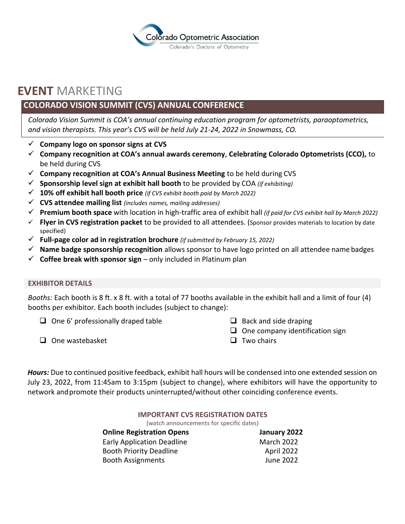

## **EVENT** MARKETING

## **COLORADO VISION SUMMIT (CVS) ANNUAL CONFERENCE**

*Colorado Vision Summit is COA's annual continuing education program for optometrists, paraoptometrics, and vision therapists. This year's CVS will be held July 21-24, 2022 in Snowmass, CO.*

- ✓ **Company logo on sponsor signs at CVS**
- ✓ **Company recognition at COA's annual awards ceremony**, **Celebrating Colorado Optometrists (CCO),** to be held during CVS
- ✓ **Company recognition at COA's Annual Business Meeting** to be held during CVS
- ✓ **Sponsorship level sign at exhibit hall booth** to be provided by COA *(if exhibiting)*
- ✓ **10% off exhibit hall booth price** *(if CVS exhibit booth paid by March 2022)*
- ✓ **CVS attendee mailing list** *(includes names, mailing addresses)*
- ✓ **Premium booth space** with location in high-traffic area of exhibit hall *(if paid for CVS exhibit hall by March 2022)*
- ✓ **Flyer in CVS registration packet** to be provided to all attendees. (Sponsor provides materials to location by date specified)
- ✓ **Full-page color ad in registration brochure** *(if submitted by February 15, 2022)*
- ✓ **Name badge sponsorship recognition** allows sponsor to have logo printed on all attendee name badges
- $\checkmark$  Coffee break with sponsor sign only included in Platinum plan

#### **EXHIBITOR DETAILS**

*Booths:* Each booth is 8 ft. x 8 ft. with a total of 77 booths available in the exhibit hall and a limit of four (4) booths per exhibitor. Each booth includes (subject to change):

 $\Box$  One 6' professionally draped table

- $\Box$  Back and side draping
- ❑ One company identification sign

❑ One wastebasket

❑ Two chairs

*Hours:* Due to continued positive feedback, exhibit hall hours will be condensed into one extended session on July 23, 2022, from 11:45am to 3:15pm (subject to change), where exhibitors will have the opportunity to network andpromote their products uninterrupted/without other coinciding conference events.

#### **IMPORTANT CVS REGISTRATION DATES**

(watch announcements for specific dates)

| <b>Online Registration Opens</b>  | January 2022      |
|-----------------------------------|-------------------|
| <b>Early Application Deadline</b> | <b>March 2022</b> |
| <b>Booth Priority Deadline</b>    | April 2022        |
| <b>Booth Assignments</b>          | June 2022         |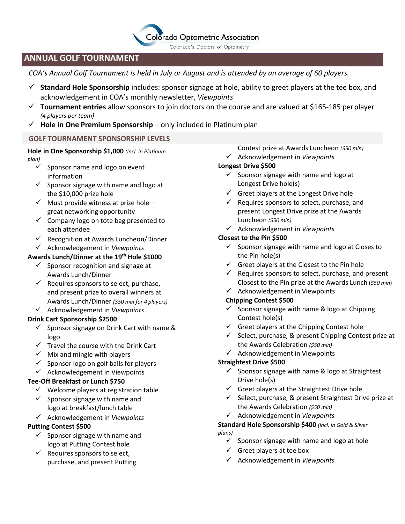## **Colorado Optometric Association**

Colorado's Doctors of Optometry

### **ANNUAL GOLF TOURNAMENT**

*COA's Annual Golf Tournament is held in July or August and is attended by an average of 60 players.*

- ✓ **Standard Hole Sponsorship** includes: sponsor signage at hole, ability to greet players at the tee box, and acknowledgement in COA's monthly newsletter, *Viewpoints*
- ✓ **Tournament entries** allow sponsors to join doctors on the course and are valued at \$165-185 perplayer *(4 players per team)*
- ✓ **Hole in One Premium Sponsorship**  only included in Platinum plan

#### **GOLF TOURNAMENT SPONSORSHIP LEVELS**

#### **Hole in One Sponsorship \$1,000** *(incl. in Platinum plan)*

- $\checkmark$  Sponsor name and logo on event information
- $\checkmark$  Sponsor signage with name and logo at the \$10,000 prize hole
- $\checkmark$  Must provide witness at prize hole great networking opportunity
- ✓ Company logo on tote bag presented to each attendee
- ✓ Recognition at Awards Luncheon/Dinner
- ✓ Acknowledgement in *Viewpoints*
- **Awards Lunch/Dinner at the 19th Hole \$1000**
	- $\checkmark$  Sponsor recognition and signage at Awards Lunch/Dinner
	- $\checkmark$  Requires sponsors to select, purchase, and present prize to overall winners at Awards Lunch/Dinner *(\$50 min for 4 players)*
	- ✓ Acknowledgement in *Viewpoints*

#### **Drink Cart Sponsorship \$2500**

- $\checkmark$  Sponsor signage on Drink Cart with name & logo
- $\checkmark$  Travel the course with the Drink Cart
- $\checkmark$  Mix and mingle with players
- $\checkmark$  Sponsor logo on golf balls for players
- $\checkmark$  Acknowledgement in Viewpoints

#### **Tee-Off Breakfast or Lunch \$750**

- $\checkmark$  Welcome players at registration table
- $\checkmark$  Sponsor signage with name and logo at breakfast/lunch table
- ✓ Acknowledgement in *Viewpoints*

#### **Putting Contest \$500**

- $\checkmark$  Sponsor signage with name and logo at Putting Contest hole
- $\checkmark$  Requires sponsors to select, purchase, and present Putting
- Contest prize at Awards Luncheon *(\$50 min)*
- ✓ Acknowledgement in *Viewpoints*

#### **Longest Drive \$500**

- $\checkmark$  Sponsor signage with name and logo at Longest Drive hole(s)
- $\checkmark$  Greet players at the Longest Drive hole
- $\checkmark$  Requires sponsors to select, purchase, and present Longest Drive prize at the Awards Luncheon *(\$50 min)*
- ✓ Acknowledgement in *Viewpoints*

#### **Closest to the Pin \$500**

- $\checkmark$  Sponsor signage with name and logo at Closes to the Pin hole(s)
- $\checkmark$  Greet players at the Closest to the Pin hole
- $\checkmark$  Requires sponsors to select, purchase, and present Closest to the Pin prize at the Awards Lunch (*\$50 min*)
- $\checkmark$  Acknowledgement in Viewpoints

#### **Chipping Contest \$500**

- $\checkmark$  Sponsor signage with name & logo at Chipping Contest hole(s)
- $\checkmark$  Greet players at the Chipping Contest hole
- ✓ Select, purchase, & present Chipping Contest prize at the Awards Celebration *(\$50 min)*
- ✓ Acknowledgement in Viewpoints

#### **Straightest Drive \$500**

- $\checkmark$  Sponsor signage with name & logo at Straightest Drive hole(s)
- $\checkmark$  Greet players at the Straightest Drive hole
- $\checkmark$  Select, purchase, & present Straightest Drive prize at the Awards Celebration *(\$50 min)*
- ✓ Acknowledgement in *Viewpoints*

#### **Standard Hole Sponsorship \$400** *(incl. in Gold & Silver plans)*

- $\checkmark$  Sponsor signage with name and logo at hole
- $\checkmark$  Greet players at tee box
- ✓ Acknowledgement in *Viewpoints*